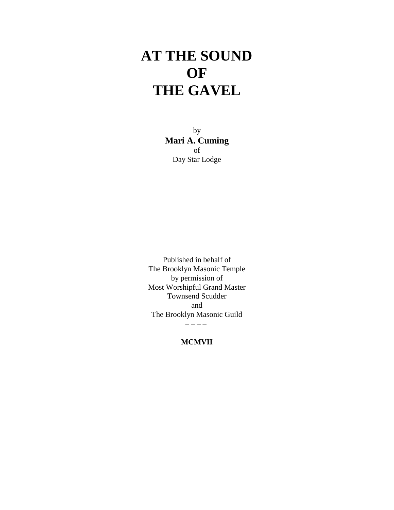## **AT THE SOUND OF THE GAVEL**

by **Mari A. Cuming** of Day Star Lodge

Published in behalf of The Brooklyn Masonic Temple by permission of Most Worshipful Grand Master Townsend Scudder and The Brooklyn Masonic Guild – – – –

**MCMVII**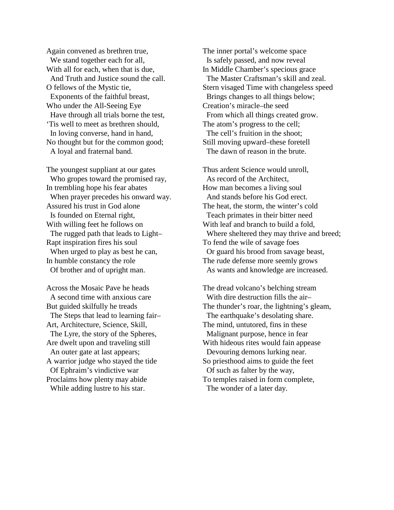Again convened as brethren true, We stand together each for all, With all for each, when that is due, And Truth and Justice sound the call. O fellows of the Mystic tie, Exponents of the faithful breast, Who under the All-Seeing Eye Have through all trials borne the test, 'Tis well to meet as brethren should, In loving converse, hand in hand, No thought but for the common good; A loyal and fraternal band.

The youngest suppliant at our gates Who gropes toward the promised ray, In trembling hope his fear abates When prayer precedes his onward way. Assured his trust in God alone Is founded on Eternal right, With willing feet he follows on The rugged path that leads to Light– Rapt inspiration fires his soul When urged to play as best he can, In humble constancy the role Of brother and of upright man.

Across the Mosaic Pave he heads A second time with anxious care But guided skilfully he treads The Steps that lead to learning fair– Art, Architecture, Science, Skill, The Lyre, the story of the Spheres, Are dwelt upon and traveling still An outer gate at last appears; A warrior judge who stayed the tide Of Ephraim's vindictive war Proclaims how plenty may abide While adding lustre to his star.

The inner portal's welcome space Is safely passed, and now reveal In Middle Chamber's specious grace The Master Craftsman's skill and zeal. Stern visaged Time with changeless speed Brings changes to all things below; Creation's miracle–the seed From which all things created grow. The atom's progress to the cell; The cell's fruition in the shoot; Still moving upward–these foretell The dawn of reason in the brute.

Thus ardent Science would unroll, As record of the Architect, How man becomes a living soul And stands before his God erect. The heat, the storm, the winter's cold Teach primates in their bitter need With leaf and branch to build a fold, Where sheltered they may thrive and breed; To fend the wile of savage foes Or guard his brood from savage beast, The rude defense more seemly grows As wants and knowledge are increased.

The dread volcano's belching stream With dire destruction fills the air– The thunder's roar, the lightning's gleam, The earthquake's desolating share. The mind, untutored, fins in these Malignant purpose, hence in fear With hideous rites would fain appease Devouring demons lurking near. So priesthood aims to guide the feet Of such as falter by the way, To temples raised in form complete, The wonder of a later day.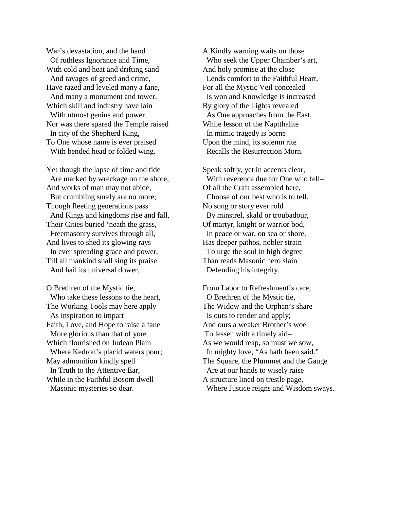War's devastation, and the hand Of ruthless Ignorance and Time, With cold and heat and drifting sand And ravages of greed and crime, Have razed and leveled many a fane, And many a monument and tower, Which skill and industry have lain With utmost genius and power. Nor was there spared the Temple raised In city of the Shepherd King, To One whose name is ever praised With bended head or folded wing.

Yet though the lapse of time and tide Are marked by wreckage on the shore, And works of man may not abide, But crumbling surely are no more; Though fleeting generations pass And Kings and kingdoms rise and fall, Their Cities buried 'neath the grass, Freemasonry survives through all, And lives to shed its glowing rays In ever spreading grace and power, Till all mankind shall sing its praise And hail its universal dower.

O Brethren of the Mystic tie, Who take these lessons to the heart, The Working Tools may here apply As inspiration to impart Faith, Love, and Hope to raise a fane More glorious than that of yore Which flourished on Judean Plain Where Kedron's placid waters pour; May admonition kindly spell In Truth to the Attentive Ear, While in the Faithful Bosom dwell Masonic mysteries so dear.

A Kindly warning waits on those Who seek the Upper Chamber's art, And holy promise at the close Lends comfort to the Faithful Heart, For all the Mystic Veil concealed Is won and Knowledge is increased By glory of the Lights revealed As One approaches from the East. While lesson of the Naptthalite In mimic tragedy is borne Upon the mind, its solemn rite Recalls the Resurrection Morn.

Speak softly, yet in accents clear, With reverence due for One who fell– Of all the Craft assembled here, Choose of our best who is to tell. No song or story ever rold By minstrel, skald or troubadour, Of martyr, knight or warrior bod, In peace or war, on sea or shore, Has deeper pathos, nobler strain To urge the soul in high degree Than reads Masonic hero slain Defending his integrity.

From Labor to Refreshment's care, O Brethren of the Mystic tie, The Widow and the Orphan's share Is ours to render and apply; And ours a weaker Brother's woe To lessen with a timely aid– As we would reap, so must we sow, In mighty love, "As hath been said." The Square, the Plummet and the Gauge Are at our hands to wisely raise A structure lined on trestle page, Where Justice reigns and Wisdom sways.